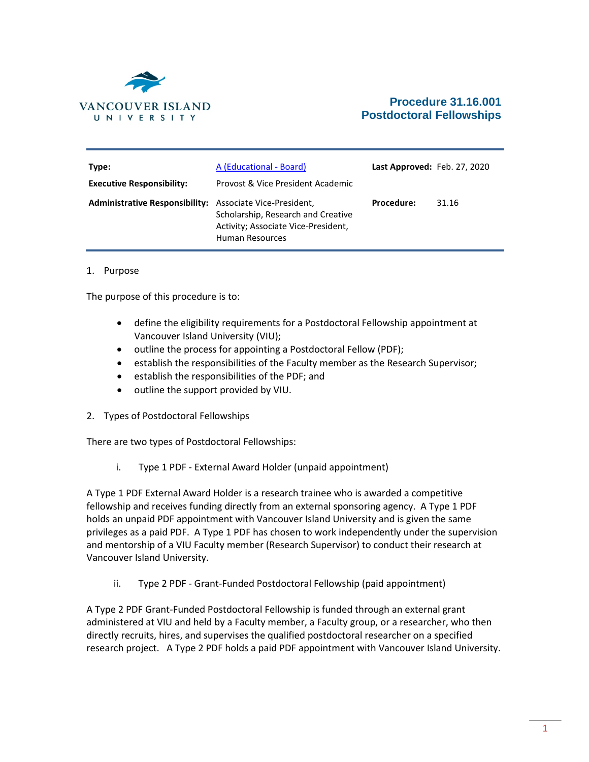

# **Procedure 31.16.001 Postdoctoral Fellowships**

| Type:<br><b>Executive Responsibility:</b>                       | A (Educational - Board)<br>Provost & Vice President Academic                                 | Last Approved: Feb. 27, 2020 |       |
|-----------------------------------------------------------------|----------------------------------------------------------------------------------------------|------------------------------|-------|
| <b>Administrative Responsibility:</b> Associate Vice-President, | Scholarship, Research and Creative<br>Activity; Associate Vice-President,<br>Human Resources | <b>Procedure:</b>            | 31.16 |

#### 1. Purpose

The purpose of this procedure is to:

- define the eligibility requirements for a Postdoctoral Fellowship appointment at Vancouver Island University (VIU);
- outline the process for appointing a Postdoctoral Fellow (PDF);
- establish the responsibilities of the Faculty member as the Research Supervisor;
- establish the responsibilities of the PDF; and
- outline the support provided by VIU.
- 2. Types of Postdoctoral Fellowships

There are two types of Postdoctoral Fellowships:

i. Type 1 PDF - External Award Holder (unpaid appointment)

A Type 1 PDF External Award Holder is a research trainee who is awarded a competitive fellowship and receives funding directly from an external sponsoring agency. A Type 1 PDF holds an unpaid PDF appointment with Vancouver Island University and is given the same privileges as a paid PDF. A Type 1 PDF has chosen to work independently under the supervision and mentorship of a VIU Faculty member (Research Supervisor) to conduct their research at Vancouver Island University.

ii. Type 2 PDF - Grant-Funded Postdoctoral Fellowship (paid appointment)

A Type 2 PDF Grant-Funded Postdoctoral Fellowship is funded through an external grant administered at VIU and held by a Faculty member, a Faculty group, or a researcher, who then directly recruits, hires, and supervises the qualified postdoctoral researcher on a specified research project. A Type 2 PDF holds a paid PDF appointment with Vancouver Island University.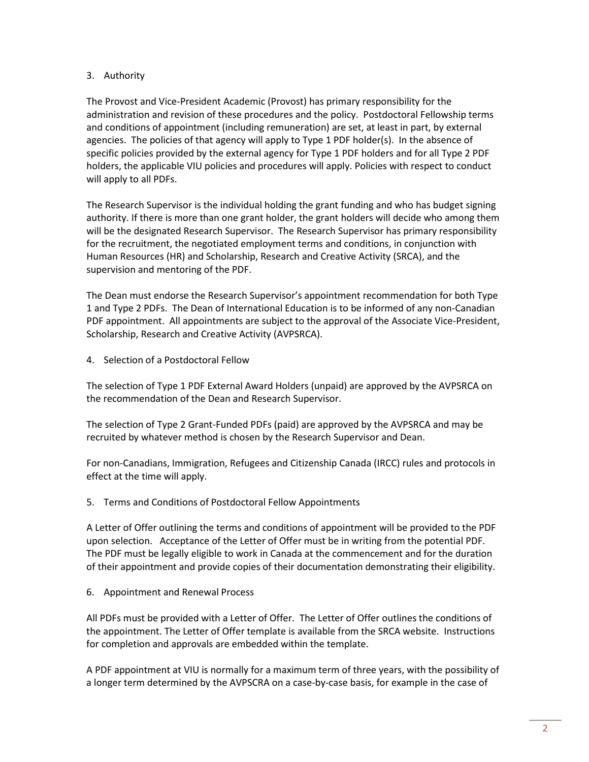### 3. Authority

The Provost and Vice-President Academic (Provost) has primary responsibility for the administration and revision of these procedures and the policy. Postdoctoral Fellowship terms and conditions of appointment (including remuneration) are set, at least in part, by external agencies. The policies of that agency will apply to Type 1 PDF holder(s). In the absence of specific policies provided by the external agency for Type 1 PDF holders and for all Type 2 PDF holders, the applicable VIU policies and procedures will apply. Policies with respect to conduct will apply to all PDFs.

The Research Supervisor is the individual holding the grant funding and who has budget signing authority. If there is more than one grant holder, the grant holders will decide who among them will be the designated Research Supervisor. The Research Supervisor has primary responsibility for the recruitment, the negotiated employment terms and conditions, in conjunction with Human Resources (HR) and Scholarship, Research and Creative Activity (SRCA), and the supervision and mentoring of the PDF.

The Dean must endorse the Research Supervisor's appointment recommendation for both Type 1 and Type 2 PDFs. The Dean of International Education is to be informed of any non-Canadian PDF appointment. All appointments are subject to the approval of the Associate Vice-President, Scholarship, Research and Creative Activity (AVPSRCA).

4. Selection of a Postdoctoral Fellow

The selection of Type 1 PDF External Award Holders (unpaid) are approved by the AVPSRCA on the recommendation of the Dean and Research Supervisor.

The selection of Type 2 Grant-Funded PDFs (paid) are approved by the AVPSRCA and may be recruited by whatever method is chosen by the Research Supervisor and Dean.

For non-Canadians, Immigration, Refugees and Citizenship Canada (IRCC) rules and protocols in effect at the time will apply.

5. Terms and Conditions of Postdoctoral Fellow Appointments

A Letter of Offer outlining the terms and conditions of appointment will be provided to the PDF upon selection. Acceptance of the Letter of Offer must be in writing from the potential PDF. The PDF must be legally eligible to work in Canada at the commencement and for the duration of their appointment and provide copies of their documentation demonstrating their eligibility.

6. Appointment and Renewal Process

All PDFs must be provided with a Letter of Offer. The Letter of Offer outlines the conditions of the appointment. The Letter of Offer template is available from the SRCA website. Instructions for completion and approvals are embedded within the template.

A PDF appointment at VIU is normally for a maximum term of three years, with the possibility of a longer term determined by the AVPSCRA on a case-by-case basis, for example in the case of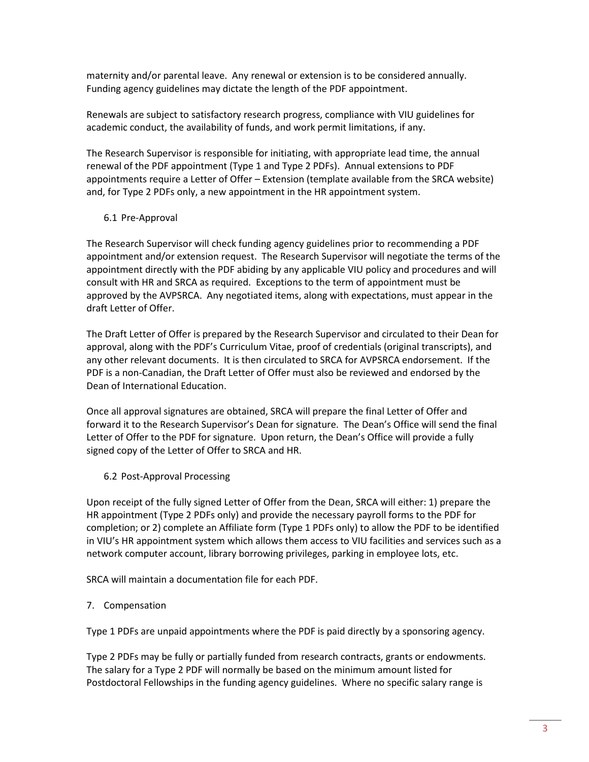maternity and/or parental leave. Any renewal or extension is to be considered annually. Funding agency guidelines may dictate the length of the PDF appointment.

Renewals are subject to satisfactory research progress, compliance with VIU guidelines for academic conduct, the availability of funds, and work permit limitations, if any.

The Research Supervisor is responsible for initiating, with appropriate lead time, the annual renewal of the PDF appointment (Type 1 and Type 2 PDFs). Annual extensions to PDF appointments require a Letter of Offer – Extension (template available from the SRCA website) and, for Type 2 PDFs only, a new appointment in the HR appointment system.

### 6.1 Pre-Approval

The Research Supervisor will check funding agency guidelines prior to recommending a PDF appointment and/or extension request. The Research Supervisor will negotiate the terms of the appointment directly with the PDF abiding by any applicable VIU policy and procedures and will consult with HR and SRCA as required. Exceptions to the term of appointment must be approved by the AVPSRCA. Any negotiated items, along with expectations, must appear in the draft Letter of Offer.

The Draft Letter of Offer is prepared by the Research Supervisor and circulated to their Dean for approval, along with the PDF's Curriculum Vitae, proof of credentials (original transcripts), and any other relevant documents. It is then circulated to SRCA for AVPSRCA endorsement. If the PDF is a non-Canadian, the Draft Letter of Offer must also be reviewed and endorsed by the Dean of International Education.

Once all approval signatures are obtained, SRCA will prepare the final Letter of Offer and forward it to the Research Supervisor's Dean for signature. The Dean's Office will send the final Letter of Offer to the PDF for signature. Upon return, the Dean's Office will provide a fully signed copy of the Letter of Offer to SRCA and HR.

## 6.2 Post-Approval Processing

Upon receipt of the fully signed Letter of Offer from the Dean, SRCA will either: 1) prepare the HR appointment (Type 2 PDFs only) and provide the necessary payroll forms to the PDF for completion; or 2) complete an Affiliate form (Type 1 PDFs only) to allow the PDF to be identified in VIU's HR appointment system which allows them access to VIU facilities and services such as a network computer account, library borrowing privileges, parking in employee lots, etc.

SRCA will maintain a documentation file for each PDF.

## 7. Compensation

Type 1 PDFs are unpaid appointments where the PDF is paid directly by a sponsoring agency.

Type 2 PDFs may be fully or partially funded from research contracts, grants or endowments. The salary for a Type 2 PDF will normally be based on the minimum amount listed for Postdoctoral Fellowships in the funding agency guidelines. Where no specific salary range is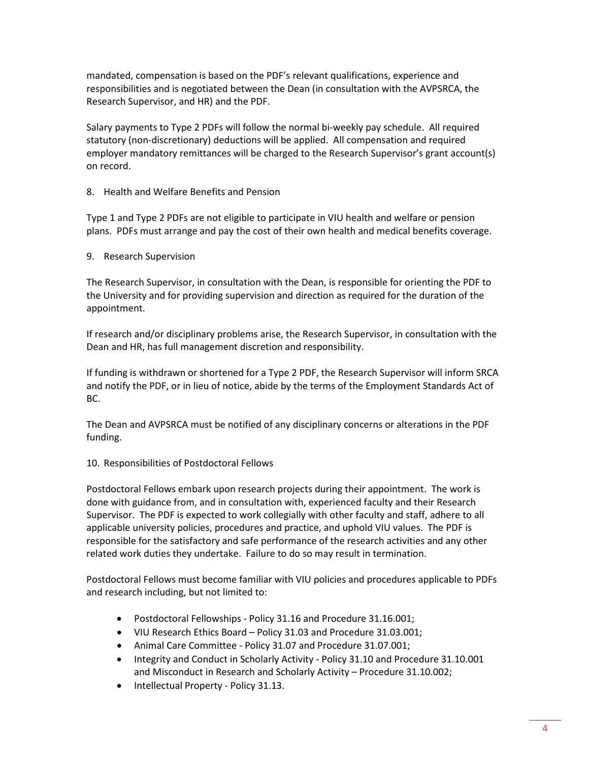mandated, compensation is based on the PDF's relevant qualifications, experience and responsibilities and is negotiated between the Dean (in consultation with the AVPSRCA, the Research Supervisor, and HR) and the PDF.

Salary payments to Type 2 PDFs will follow the normal bi-weekly pay schedule. All required statutory (non-discretionary) deductions will be applied. All compensation and required employer mandatory remittances will be charged to the Research Supervisor's grant account(s) on record.

8. Health and Welfare Benefits and Pension

Type 1 and Type 2 PDFs are not eligible to participate in VIU health and welfare or pension plans. PDFs must arrange and pay the cost of their own health and medical benefits coverage.

9. Research Supervision

The Research Supervisor, in consultation with the Dean, is responsible for orienting the PDF to the University and for providing supervision and direction as required for the duration of the appointment.

If research and/or disciplinary problems arise, the Research Supervisor, in consultation with the Dean and HR, has full management discretion and responsibility.

If funding is withdrawn or shortened for a Type 2 PDF, the Research Supervisor will inform SRCA and notify the PDF, or in lieu of notice, abide by the terms of the Employment Standards Act of BC.

The Dean and AVPSRCA must be notified of any disciplinary concerns or alterations in the PDF funding.

## 10. Responsibilities of Postdoctoral Fellows

Postdoctoral Fellows embark upon research projects during their appointment. The work is done with guidance from, and in consultation with, experienced faculty and their Research Supervisor. The PDF is expected to work collegially with other faculty and staff, adhere to all applicable [university policies, procedures](http://www.viu.ca/policies/index.asp) and practice, and uphold VIU values. The PDF is responsible for the satisfactory and safe performance of the research activities and any other related work duties they undertake. Failure to do so may result in termination.

Postdoctoral Fellows must become familiar with VIU policies and procedures applicable to PDFs and research including, but not limited to:

- Postdoctoral Fellowships Policy 31.16 and Procedure 31.16.001;
- VIU Research Ethics Board Policy 31.03 an[d Procedure 31.03.001;](https://isweb.viu.ca/policy_procedure/docshow.asp?doc_id=21091)
- Animal Care Committee [Policy 31.07](https://isweb.viu.ca/policy_procedure/docshow.asp?doc_id=22735) and [Procedure 31.07.001;](https://isweb.viu.ca/policy_procedure/docshow.asp?doc_id=22736)
- Integrity and Conduct in Scholarly Activity [Policy 31.10](https://isweb.viu.ca/policy_procedure/docshow.asp?doc_id=21100) and [Procedure 31.10.001](https://isweb.viu.ca/policy_procedure/docshow.asp?doc_id=21101) and Misconduct in Research and Scholarly Activity – Procedure 31.10.002;
- Intellectual Property [Policy 31.13.](https://isweb.viu.ca/policy_procedure/docshow.asp?doc_id=21105)